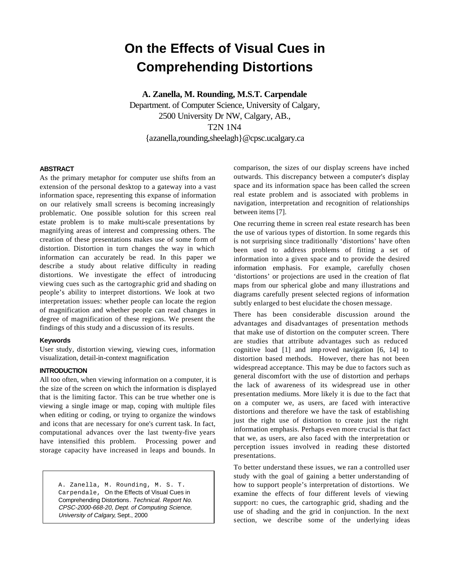# **On the Effects of Visual Cues in Comprehending Distortions**

**A. Zanella, M. Rounding, M.S.T. Carpendale** 

Department. of Computer Science, University of Calgary, 2500 University Dr NW, Calgary, AB., T2N 1N4 {azanella,rounding,sheelagh}@cpsc.ucalgary.ca

## **ABSTRACT**

As the primary metaphor for computer use shifts from an extension of the personal desktop to a gateway into a vast information space, representing this expanse of information on our relatively small screens is becoming increasingly problematic. One possible solution for this screen real estate problem is to make multi-scale presentations by magnifying areas of interest and compressing others. The creation of these presentations makes use of some form of distortion. Distortion in turn changes the way in which information can accurately be read. In this paper we describe a study about relative difficulty in reading distortions. We investigate the effect of introducing viewing cues such as the cartographic grid and shading on people's ability to interpret distortions. We look at two interpretation issues: whether people can locate the region of magnification and whether people can read changes in degree of magnification of these regions. We present the findings of this study and a discussion of its results.

## **Keywords**

User study, distortion viewing, viewing cues, information visualization, detail-in-context magnification

## **INTRODUCTION**

All too often, when viewing information on a computer, it is the size of the screen on which the information is displayed that is the limiting factor. This can be true whether one is viewing a single image or map, coping with multiple files when editing or coding, or trying to organize the windows and icons that are necessary for one's current task. In fact, computational advances over the last twenty-five years have intensified this problem. Processing power and storage capacity have increased in leaps and bounds. In

> A. Zanella, M. Rounding, M. S. T. Carpendale, On the Effects of Visual Cues in Comprehending Distortions. Technical. Report No. CPSC-2000-668-20, Dept. of Computing Science, University of Calgary, Sept., 2000

comparison, the sizes of our display screens have inched outwards. This discrepancy between a computer's display space and its information space has been called the screen real estate problem and is associated with problems in navigation, interpretation and recognition of relationships between items [7].

One recurring theme in screen real estate research has been the use of various types of distortion. In some regards this is not surprising since traditionally 'distortions' have often been used to address problems of fitting a set of information into a given space and to provide the desired information emp hasis. For example, carefully chosen 'distortions' or projections are used in the creation of flat maps from our spherical globe and many illustrations and diagrams carefully present selected regions of information subtly enlarged to best elucidate the chosen message.

There has been considerable discussion around the advantages and disadvantages of presentation methods that make use of distortion on the computer screen. There are studies that attribute advantages such as reduced cognitive load [1] and imp roved navigation [6, 14] to distortion based methods. However, there has not been widespread acceptance. This may be due to factors such as general discomfort with the use of distortion and perhaps the lack of awareness of its widespread use in other presentation mediums. More likely it is due to the fact that on a computer we, as users, are faced with interactive distortions and therefore we have the task of establishing just the right use of distortion to create just the right information emphasis. Perhaps even more crucial is that fact that we, as users, are also faced with the interpretation or perception issues involved in reading these distorted presentations.

To better understand these issues, we ran a controlled user study with the goal of gaining a better understanding of how to support people's interpretation of distortions. We examine the effects of four different levels of viewing support: no cues, the cartographic grid, shading and the use of shading and the grid in conjunction. In the next section, we describe some of the underlying ideas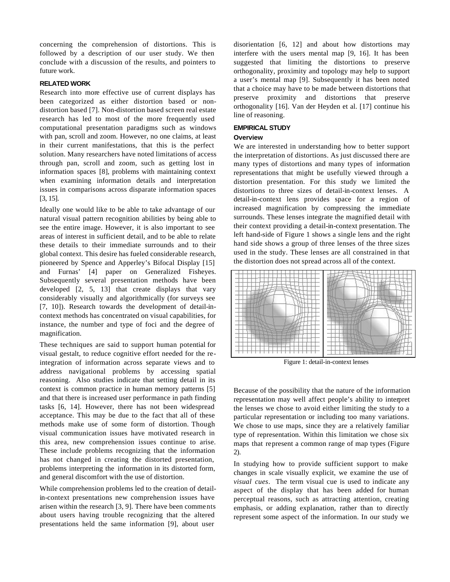concerning the comprehension of distortions. This is followed by a description of our user study. We then conclude with a discussion of the results, and pointers to future work.

#### **RELATED WORK**

Research into more effective use of current displays has been categorized as either distortion based or nondistortion based [7]. Non-distortion based screen real estate research has led to most of the more frequently used computational presentation paradigms such as windows with pan, scroll and zoom. However, no one claims, at least in their current manifestations, that this is the perfect solution. Many researchers have noted limitations of access through pan, scroll and zoom, such as getting lost in information spaces [8], problems with maintaining context when examining information details and interpretation issues in comparisons across disparate information spaces [3, 15].

Ideally one would like to be able to take advantage of our natural visual pattern recognition abilities by being able to see the entire image. However, it is also important to see areas of interest in sufficient detail, and to be able to relate these details to their immediate surrounds and to their global context. This desire has fueled considerable research, pioneered by Spence and Apperley's Bifocal Display [15] and Furnas' [4] paper on Generalized Fisheyes. Subsequently several presentation methods have been developed [2, 5, 13] that create displays that vary considerably visually and algorithmically (for surveys see [7, 10]). Research towards the development of detail-incontext methods has concentrated on visual capabilities, for instance, the number and type of foci and the degree of magnification.

These techniques are said to support human potential for visual gestalt, to reduce cognitive effort needed for the reintegration of information across separate views and to address navigational problems by accessing spatial reasoning. Also studies indicate that setting detail in its context is common practice in human memory patterns [5] and that there is increased user performance in path finding tasks [6, 14]. However, there has not been widespread acceptance. This may be due to the fact that all of these methods make use of some form of distortion. Though visual communication issues have motivated research in this area, new comprehension issues continue to arise. These include problems recognizing that the information has not changed in creating the distorted presentation, problems interpreting the information in its distorted form, and general discomfort with the use of distortion.

While comprehension problems led to the creation of detailin-context presentations new comprehension issues have arisen within the research [3, 9]. There have been comments about users having trouble recognizing that the altered presentations held the same information [9], about user

disorientation [6, 12] and about how distortions may interfere with the users mental map [9, 16]. It has been suggested that limiting the distortions to preserve orthogonality, proximity and topology may help to support a user's mental map [9]. Subsequently it has been noted that a choice may have to be made between distortions that preserve proximity and distortions that preserve orthogonality [16]. Van der Heyden et al. [17] continue his line of reasoning.

#### **EMPIRICAL STUDY**

#### **Overview**

We are interested in understanding how to better support the interpretation of distortions. As just discussed there are many types of distortions and many types of information representations that might be usefully viewed through a distortion presentation. For this study we limited the distortions to three sizes of detail-in-context lenses. A detail-in-context lens provides space for a region of increased magnification by compressing the immediate surrounds. These lenses integrate the magnified detail with their context providing a detail-in-context presentation. The left hand-side of Figure 1 shows a single lens and the right hand side shows a group of three lenses of the three sizes used in the study. These lenses are all constrained in that the distortion does not spread across all of the context.



Figure 1: detail-in-context lenses

Because of the possibility that the nature of the information representation may well affect people's ability to interpret the lenses we chose to avoid either limiting the study to a particular representation or including too many variations. We chose to use maps, since they are a relatively familiar type of representation. Within this limitation we chose six maps that represent a common range of map types (Figure 2).

In studying how to provide sufficient support to make changes in scale visually explicit, we examine the use of *visual cues*. The term visual cue is used to indicate any aspect of the display that has been added for human perceptual reasons, such as attracting attention, creating emphasis, or adding explanation, rather than to directly represent some aspect of the information. In our study we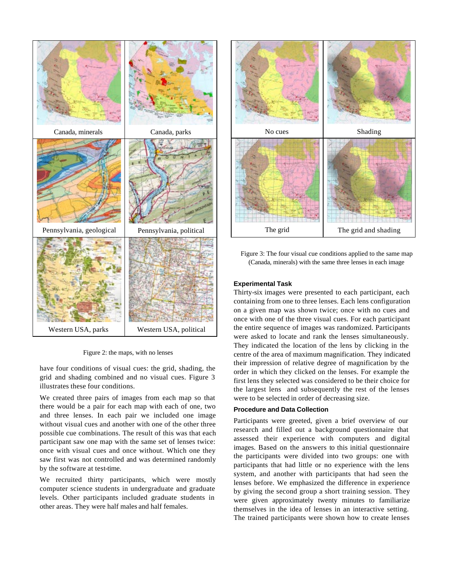

Figure 2: the maps, with no lenses

have four conditions of visual cues: the grid, shading, the grid and shading combined and no visual cues. Figure 3 illustrates these four conditions.

We created three pairs of images from each map so that there would be a pair for each map with each of one, two and three lenses. In each pair we included one image without visual cues and another with one of the other three possible cue combinations. The result of this was that each participant saw one map with the same set of lenses twice: once with visual cues and once without. Which one they saw first was not controlled and was determined randomly by the software at test-time.

We recruited thirty participants, which were mostly computer science students in undergraduate and graduate levels. Other participants included graduate students in other areas. They were half males and half females.



Figure 3: The four visual cue conditions applied to the same map (Canada, minerals) with the same three lenses in each image

## **Experimental Task**

Thirty-six images were presented to each participant, each containing from one to three lenses. Each lens configuration on a given map was shown twice; once with no cues and once with one of the three visual cues. For each participant the entire sequence of images was randomized. Participants were asked to locate and rank the lenses simultaneously. They indicated the location of the lens by clicking in the centre of the area of maximum magnification. They indicated their impression of relative degree of magnification by the order in which they clicked on the lenses. For example the first lens they selected was considered to be their choice for the largest lens and subsequently the rest of the lenses were to be selected in order of decreasing size.

#### **Procedure and Data Collection**

Participants were greeted, given a brief overview of our research and filled out a background questionnaire that assessed their experience with computers and digital images. Based on the answers to this initial questionnaire the participants were divided into two groups: one with participants that had little or no experience with the lens system, and another with participants that had seen the lenses before. We emphasized the difference in experience by giving the second group a short training session. They were given approximately twenty minutes to familiarize themselves in the idea of lenses in an interactive setting. The trained participants were shown how to create lenses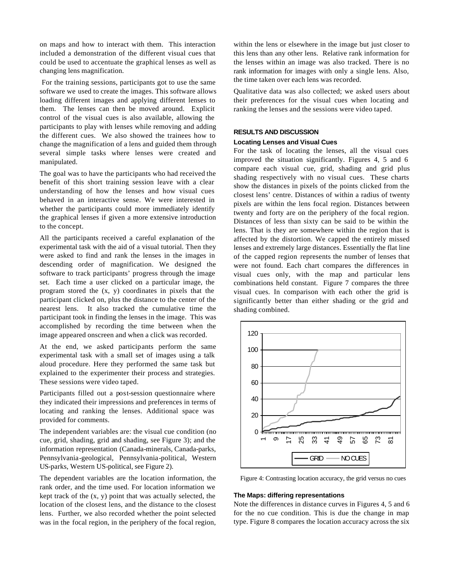on maps and how to interact with them. This interaction included a demonstration of the different visual cues that could be used to accentuate the graphical lenses as well as changing lens magnification.

 For the training sessions, participants got to use the same software we used to create the images. This software allows loading different images and applying different lenses to them. The lenses can then be moved around. Explicit control of the visual cues is also available, allowing the participants to play with lenses while removing and adding the different cues. We also showed the trainees how to change the magnification of a lens and guided them through several simple tasks where lenses were created and manipulated.

The goal was to have the participants who had received the benefit of this short training session leave with a clear understanding of how the lenses and how visual cues behaved in an interactive sense. We were interested in whether the participants could more immediately identify the graphical lenses if given a more extensive introduction to the concept.

All the participants received a careful explanation of the experimental task with the aid of a visual tutorial. Then they were asked to find and rank the lenses in the images in descending order of magnification. We designed the software to track participants' progress through the image set. Each time a user clicked on a particular image, the program stored the (x, y) coordinates in pixels that the participant clicked on, plus the distance to the center of the nearest lens. It also tracked the cumulative time the participant took in finding the lenses in the image. This was accomplished by recording the time between when the image appeared onscreen and when a click was recorded.

At the end, we asked participants perform the same experimental task with a small set of images using a talk aloud procedure. Here they performed the same task but explained to the experimenter their process and strategies. These sessions were video taped.

Participants filled out a post-session questionnaire where they indicated their impressions and preferences in terms of locating and ranking the lenses. Additional space was provided for comments.

The independent variables are: the visual cue condition (no cue, grid, shading, grid and shading, see Figure 3); and the information representation (Canada-minerals, Canada-parks, Pennsylvania-geological, Pennsylvania-political, Western US-parks, Western US-political, see Figure 2).

The dependent variables are the location information, the rank order, and the time used. For location information we kept track of the  $(x, y)$  point that was actually selected, the location of the closest lens, and the distance to the closest lens. Further, we also recorded whether the point selected was in the focal region, in the periphery of the focal region,

within the lens or elsewhere in the image but just closer to this lens than any other lens. Relative rank information for the lenses within an image was also tracked. There is no rank information for images with only a single lens. Also, the time taken over each lens was recorded.

Qualitative data was also collected; we asked users about their preferences for the visual cues when locating and ranking the lenses and the sessions were video taped.

#### **RESULTS AND DISCUSSION**

#### **Locating Lenses and Visual Cues**

For the task of locating the lenses, all the visual cues improved the situation significantly. Figures 4, 5 and 6 compare each visual cue, grid, shading and grid plus shading respectively with no visual cues. These charts show the distances in pixels of the points clicked from the closest lens' centre. Distances of within a radius of twenty pixels are within the lens focal region. Distances between twenty and forty are on the periphery of the focal region. Distances of less than sixty can be said to be within the lens. That is they are somewhere within the region that is affected by the distortion. We capped the entirely missed lenses and extremely large distances. Essentially the flat line of the capped region represents the number of lenses that were not found. Each chart compares the differences in visual cues only, with the map and particular lens combinations held constant. Figure 7 compares the three visual cues. In comparison with each other the grid is significantly better than either shading or the grid and shading combined.



Figure 4: Contrasting location accuracy, the grid versus no cues

## **The Maps: differing representations**

Note the differences in distance curves in Figures 4, 5 and 6 for the no cue condition. This is due the change in map type. Figure 8 compares the location accuracy across the six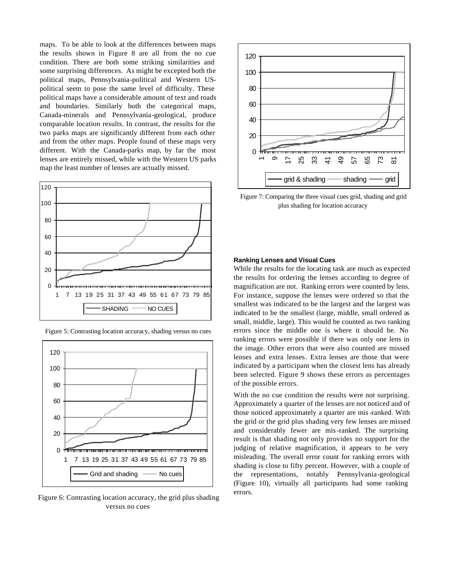maps. To be able to look at the differences between maps the results shown in Figure 8 are all from the no cue condition. There are both some striking similarities and some surprising differences. As might be excepted both the political maps, Pennsylvania-political and Western USpolitical seem to pose the same level of difficulty. These political maps have a considerable amount of text and roads and boundaries. Similarly both the categorical maps, Canada-minerals and Pennsylvania-geological, produce comparable location results. In contrast, the results for the two parks maps are significantly different from each other and from the other maps. People found of these maps very different. With the Canada-parks map, by far the most lenses are entirely missed, while with the Western US parks map the least number of lenses are actually missed.



Figure 5: Contrasting location accuracy, shading versus no cues



Figure 6: Contrasting location accuracy, the grid plus shading versus no cues



Figure 7: Comparing the three visual cues grid, shading and grid plus shading for location accuracy

#### **Ranking Lenses and Visual Cues**

While the results for the locating task are much as expected the results for ordering the lenses according to degree of magnification are not. Ranking errors were counted by lens. For instance, suppose the lenses were ordered so that the smallest was indicated to be the largest and the largest was indicated to be the smallest (large, middle, small ordered as small, middle, large). This would be counted as two ranking errors since the middle one is where it should be. No ranking errors were possible if there was only one lens in the image. Other errors that were also counted are missed lenses and extra lenses. Extra lenses are those that were indicated by a participant when the closest lens has already been selected. Figure 9 shows these errors as percentages of the possible errors.

With the no cue condition the results were not surprising. Approximately a quarter of the lenses are not noticed and of those noticed approximately a quarter are mis -ranked. With the grid or the grid plus shading very few lenses are missed and considerably fewer are mis -ranked. The surprising result is that shading not only provides no support for the judging of relative magnification, it appears to be very misleading. The overall error count for ranking errors with shading is close to fifty percent. However, with a couple of the representations, notably Pennsylvania-geological (Figure 10), virtually all participants had some ranking errors.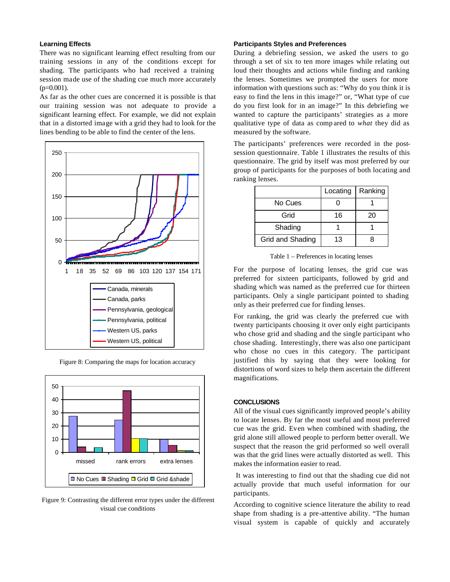## **Learning Effects**

There was no significant learning effect resulting from our training sessions in any of the conditions except for shading. The participants who had received a training session made use of the shading cue much more accurately  $(p=0.001)$ .

As far as the other cues are concerned it is possible is that our training session was not adequate to provide a significant learning effect. For example, we did not explain that in a distorted image with a grid they had to look for the lines bending to be able to find the center of the lens.



Figure 8: Comparing the maps for location accuracy



Figure 9: Contrasting the different error types under the different visual cue conditions

#### **Participants Styles and Preferences**

During a debriefing session, we asked the users to go through a set of six to ten more images while relating out loud their thoughts and actions while finding and ranking the lenses. Sometimes we prompted the users for more information with questions such as: "Why do you think it is easy to find the lens in this image?" or, "What type of cue do you first look for in an image?" In this debriefing we wanted to capture the participants' strategies as a more qualitative type of data as comp ared to *what* they did as measured by the software.

The participants' preferences were recorded in the postsession questionnaire. Table 1 illustrates the results of this questionnaire. The grid by itself was most preferred by our group of participants for the purposes of both locating and ranking lenses.

|                  | Locating | Ranking |
|------------------|----------|---------|
| No Cues          |          |         |
| Grid             | 16       | 20      |
| Shading          |          |         |
| Grid and Shading | 13       |         |

Table 1 – Preferences in locating lenses

For the purpose of locating lenses, the grid cue was preferred for sixteen participants, followed by grid and shading which was named as the preferred cue for thirteen participants. Only a single participant pointed to shading only as their preferred cue for finding lenses.

For ranking, the grid was clearly the preferred cue with twenty participants choosing it over only eight participants who chose grid and shading and the single participant who chose shading. Interestingly, there was also one participant who chose no cues in this category. The participant justified this by saying that they were looking for distortions of word sizes to help them ascertain the different magnifications.

## **CONCLUSIONS**

All of the visual cues significantly improved people's ability to locate lenses. By far the most useful and most preferred cue was the grid. Even when combined with shading, the grid alone still allowed people to perform better overall. We suspect that the reason the grid performed so well overall was that the grid lines were actually distorted as well. This makes the information easier to read.

 It was interesting to find out that the shading cue did not actually provide that much useful information for our participants.

According to cognitive science literature the ability to read shape from shading is a pre-attentive ability. "The human visual system is capable of quickly and accurately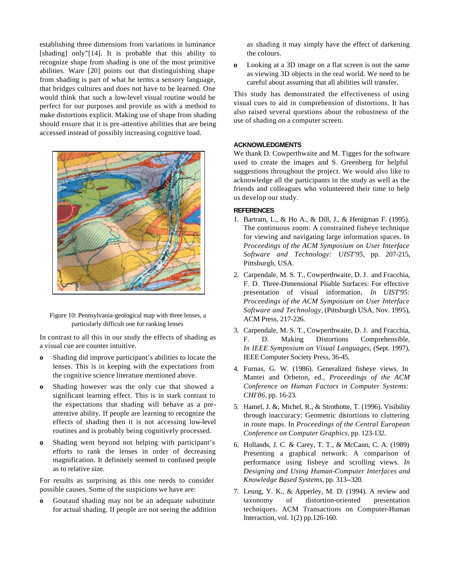establishing three dimensions from variations in luminance [shading] only"[14]. It is probable that this ability to recognize shape from shading is one of the most primitive abilities. Ware [20] points out that distinguishing shape from shading is part of what he terms a sensory language, that bridges cultures and does not have to be learned. One would think that such a low-level visual routine would be perfect for our purposes and provide us with a method to make distortions explicit. Making use of shape from shading should ensure that it is pre-attentive abilities that are being accessed instead of possibly increasing cognitive load.



Figure 10: Pennsylvania-geological map with three lenses, a particularly difficult one for ranking lenses

In contrast to all this in our study the effects of shading as a visual cue are counter intuitive.

- **o** Shading did improve participant's abilities to locate the lenses. This is in keeping with the expectations from the cognitive science literature mentioned above.
- **o** Shading however was the only cue that showed a significant learning effect. This is in stark contrast to the expectations that shading will behave as a preattentive ability. If people are learning to recognize the effects of shading then it is not accessing low-level routines and is probably being cognitively processed.
- **o** Shading went beyond not helping with participant's efforts to rank the lenses in order of decreasing magnification. It definitely seemed to confused people as to relative size.

For results as surprising as this one needs to consider possible causes. Some of the suspicions we have are:

**o** Gouraud shading may not be an adequate substitute for actual shading. If people are not seeing the addition as shading it may simply have the effect of darkening the colours.

**o** Looking at a 3D image on a flat screen is not the same as viewing 3D objects in the real world. We need to be careful about assuming that all abilities will transfer.

This study has demonstrated the effectiveness of using visual cues to aid in comprehension of distortions. It has also raised several questions about the robustness of the use of shading on a computer screen.

## **ACKNOWLEDGMENTS**

We thank D. Cowperthwaite and M. Tigges for the software used to create the images and S. Greenberg for helpful suggestions throughout the project. We would also like to acknowledge all the participants in the study as well as the friends and colleagues who volunteered their time to help us develop our study.

# **REFERENCES**

- 1. Bartram, L., & Ho A., & Dill, J., & Henigman F. (1995). The continuous zoom: A constrained fisheye technique for viewing and navigating large information spaces. In *Proceedings of the ACM Symposium on User Interface Software and Technology: UIST'95*, pp. 207-215, Pittsburgh, USA.
- 2. Carpendale, M. S. T., Cowperthwaite, D. J. and Fracchia, F. D. Three-Dimensional Pliable Surfaces: For effective presentation of visual information, *In UIST'95: Proceedings of the ACM Symposium on User Interface Software and Technology*, (Pittsburgh USA, Nov. 1995), ACM Press, 217-226.
- 3. Carpendale, M. S. T., Cowperthwaite, D. J. and Fracchia, F. D. Making Distortions Comprehensible, *In IEEE Symposium on Visual Languages*, (Sept. 1997), IEEE Computer Society Press, 36-45.
- 4. Furnas, G. W. (1986). Generalized fisheye views. In Mantei and Orbeton, ed., *Proceedings of the ACM Conference on Human Factors in Computer Systems: CHI'86*, pp. 16-23.
- 5. Hamel, J. &, Michel, R., & Strothotte, T. (1996). Visibility through inaccuracy: Geometric distortions to cluttering in route maps. In *Proceedings of the Central European Conference on Computer Graphics*, pp. 123-132.
- 6. Hollands, J. C. & Carey, T. T., & McCann, C. A. (1989) Presenting a graphical network: A comparison of performance using fisheye and scrolling views. *In Designing and Using Human-Computer Interfaces and Knowledge Based Systems*, pp. 313--320.
- 7. Leung, Y. K., & Apperley, M. D. (1994). A review and taxonomy of distortion-oriented presentation techniques. ACM Transactions on Computer-Human Interaction, vol. 1(2) pp.126-160.